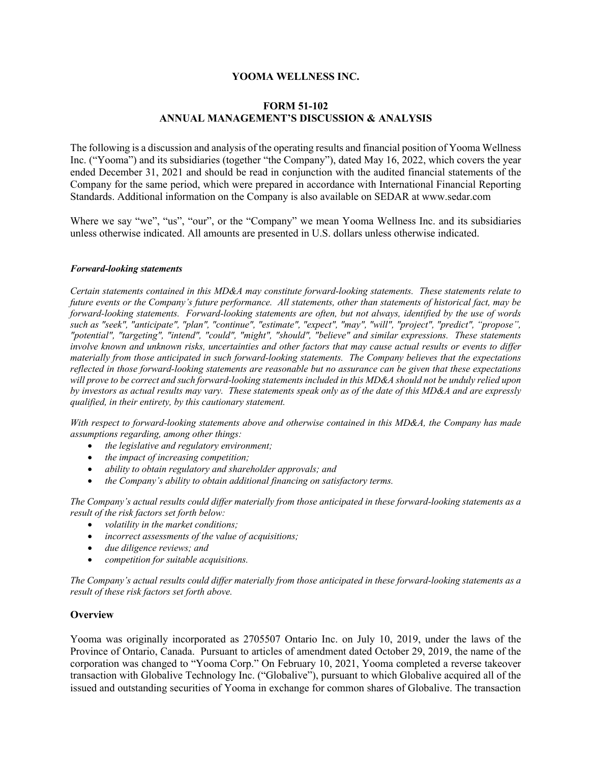# **YOOMA WELLNESS INC.**

# **FORM 51-102 ANNUAL MANAGEMENT'S DISCUSSION & ANALYSIS**

The following is a discussion and analysis of the operating results and financial position of Yooma Wellness Inc. ("Yooma") and its subsidiaries (together "the Company"), dated May 16, 2022, which covers the year ended December 31, 2021 and should be read in conjunction with the audited financial statements of the Company for the same period, which were prepared in accordance with International Financial Reporting Standards. Additional information on the Company is also available on SEDAR at www.sedar.com

Where we say "we", "us", "our", or the "Company" we mean Yooma Wellness Inc. and its subsidiaries unless otherwise indicated. All amounts are presented in U.S. dollars unless otherwise indicated.

#### *Forward-looking statements*

*Certain statements contained in this MD&A may constitute forward-looking statements. These statements relate to future events or the Company's future performance. All statements, other than statements of historical fact, may be forward-looking statements. Forward-looking statements are often, but not always, identified by the use of words such as "seek", "anticipate", "plan", "continue", "estimate", "expect", "may", "will", "project", "predict", "propose", "potential", "targeting", "intend", "could", "might", "should", "believe" and similar expressions. These statements involve known and unknown risks, uncertainties and other factors that may cause actual results or events to differ materially from those anticipated in such forward-looking statements. The Company believes that the expectations reflected in those forward-looking statements are reasonable but no assurance can be given that these expectations will prove to be correct and such forward-looking statements included in this MD&A should not be unduly relied upon by investors as actual results may vary. These statements speak only as of the date of this MD&A and are expressly qualified, in their entirety, by this cautionary statement.*

*With respect to forward-looking statements above and otherwise contained in this MD&A, the Company has made assumptions regarding, among other things:*

- *the legislative and regulatory environment;*
- *the impact of increasing competition;*
- *ability to obtain regulatory and shareholder approvals; and*
- *the Company's ability to obtain additional financing on satisfactory terms.*

*The Company's actual results could differ materially from those anticipated in these forward-looking statements as a result of the risk factors set forth below:*

- *volatility in the market conditions;*
- *incorrect assessments of the value of acquisitions;*
- *due diligence reviews; and*
- *competition for suitable acquisitions.*

*The Company's actual results could differ materially from those anticipated in these forward-looking statements as a result of these risk factors set forth above.* 

# **Overview**

Yooma was originally incorporated as 2705507 Ontario Inc. on July 10, 2019, under the laws of the Province of Ontario, Canada. Pursuant to articles of amendment dated October 29, 2019, the name of the corporation was changed to "Yooma Corp." On February 10, 2021, Yooma completed a reverse takeover transaction with Globalive Technology Inc. ("Globalive"), pursuant to which Globalive acquired all of the issued and outstanding securities of Yooma in exchange for common shares of Globalive. The transaction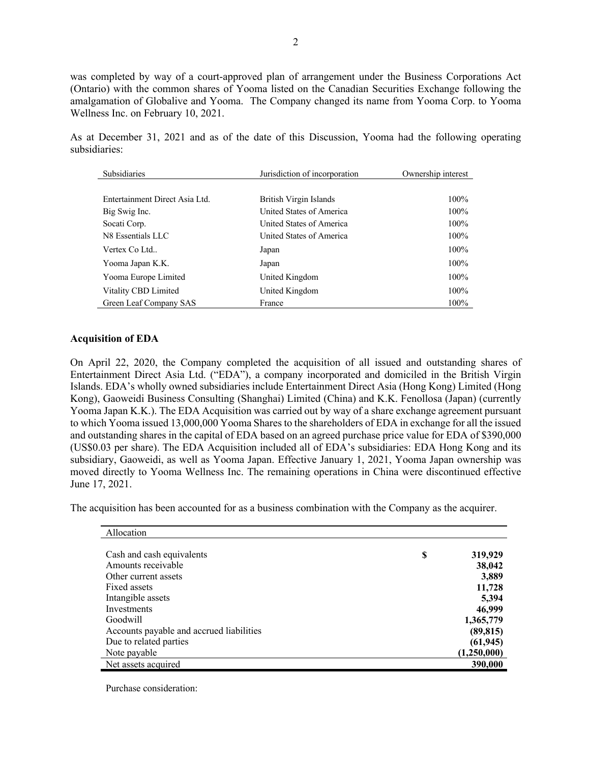was completed by way of a court-approved plan of arrangement under the Business Corporations Act (Ontario) with the common shares of Yooma listed on the Canadian Securities Exchange following the amalgamation of Globalive and Yooma. The Company changed its name from Yooma Corp. to Yooma Wellness Inc. on February 10, 2021.

As at December 31, 2021 and as of the date of this Discussion, Yooma had the following operating subsidiaries:

| Subsidiaries                   | Jurisdiction of incorporation | Ownership interest |
|--------------------------------|-------------------------------|--------------------|
|                                |                               |                    |
| Entertainment Direct Asia Ltd. | British Virgin Islands        | $100\%$            |
| Big Swig Inc.                  | United States of America      | 100%               |
| Socati Corp.                   | United States of America      | 100%               |
| N8 Essentials LLC              | United States of America      | 100%               |
| Vertex Co Ltd                  | Japan                         | 100%               |
| Yooma Japan K.K.               | Japan                         | 100%               |
| Yooma Europe Limited           | United Kingdom                | 100%               |
| Vitality CBD Limited           | United Kingdom                | 100%               |
| Green Leaf Company SAS         | France                        | 100%               |

#### **Acquisition of EDA**

On April 22, 2020, the Company completed the acquisition of all issued and outstanding shares of Entertainment Direct Asia Ltd. ("EDA"), a company incorporated and domiciled in the British Virgin Islands. EDA's wholly owned subsidiaries include Entertainment Direct Asia (Hong Kong) Limited (Hong Kong), Gaoweidi Business Consulting (Shanghai) Limited (China) and K.K. Fenollosa (Japan) (currently Yooma Japan K.K.). The EDA Acquisition was carried out by way of a share exchange agreement pursuant to which Yooma issued 13,000,000 Yooma Shares to the shareholders of EDA in exchange for all the issued and outstanding shares in the capital of EDA based on an agreed purchase price value for EDA of \$390,000 (US\$0.03 per share). The EDA Acquisition included all of EDA's subsidiaries: EDA Hong Kong and its subsidiary, Gaoweidi, as well as Yooma Japan. Effective January 1, 2021, Yooma Japan ownership was moved directly to Yooma Wellness Inc. The remaining operations in China were discontinued effective June 17, 2021.

The acquisition has been accounted for as a business combination with the Company as the acquirer.

| Allocation                               |               |
|------------------------------------------|---------------|
|                                          |               |
| Cash and cash equivalents                | \$<br>319,929 |
| Amounts receivable                       | 38,042        |
| Other current assets                     | 3,889         |
| Fixed assets                             | 11,728        |
| Intangible assets                        | 5,394         |
| Investments                              | 46,999        |
| Goodwill                                 | 1,365,779     |
| Accounts payable and accrued liabilities | (89, 815)     |
| Due to related parties                   | (61, 945)     |
| Note payable                             | (1,250,000)   |
| Net assets acquired                      | 390,000       |

Purchase consideration: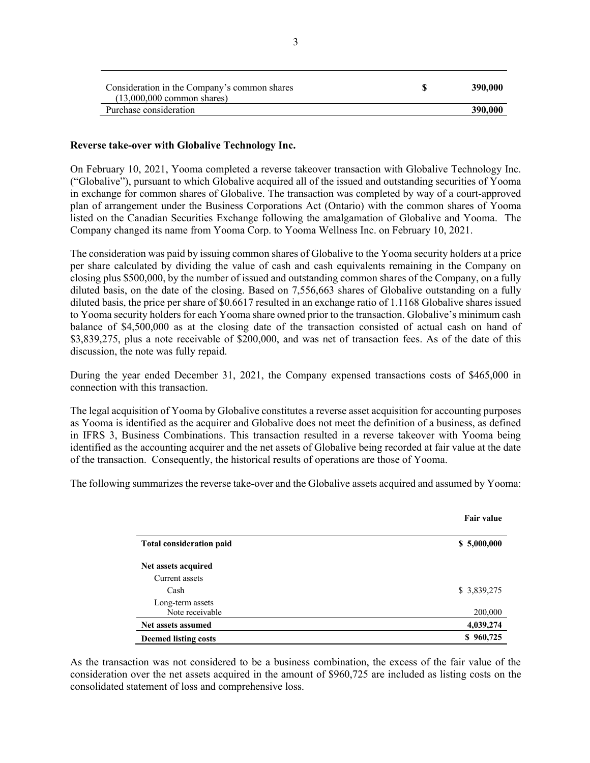| Consideration in the Company's common shares<br>$(13.000.000$ common shares) | 390,000 |
|------------------------------------------------------------------------------|---------|
| Purchase consideration                                                       | 390,000 |

#### **Reverse take-over with Globalive Technology Inc.**

On February 10, 2021, Yooma completed a reverse takeover transaction with Globalive Technology Inc. ("Globalive"), pursuant to which Globalive acquired all of the issued and outstanding securities of Yooma in exchange for common shares of Globalive. The transaction was completed by way of a court-approved plan of arrangement under the Business Corporations Act (Ontario) with the common shares of Yooma listed on the Canadian Securities Exchange following the amalgamation of Globalive and Yooma. The Company changed its name from Yooma Corp. to Yooma Wellness Inc. on February 10, 2021.

The consideration was paid by issuing common shares of Globalive to the Yooma security holders at a price per share calculated by dividing the value of cash and cash equivalents remaining in the Company on closing plus \$500,000, by the number of issued and outstanding common shares of the Company, on a fully diluted basis, on the date of the closing. Based on 7,556,663 shares of Globalive outstanding on a fully diluted basis, the price per share of \$0.6617 resulted in an exchange ratio of 1.1168 Globalive shares issued to Yooma security holders for each Yooma share owned prior to the transaction. Globalive's minimum cash balance of \$4,500,000 as at the closing date of the transaction consisted of actual cash on hand of \$3,839,275, plus a note receivable of \$200,000, and was net of transaction fees. As of the date of this discussion, the note was fully repaid.

During the year ended December 31, 2021, the Company expensed transactions costs of \$465,000 in connection with this transaction.

The legal acquisition of Yooma by Globalive constitutes a reverse asset acquisition for accounting purposes as Yooma is identified as the acquirer and Globalive does not meet the definition of a business, as defined in IFRS 3, Business Combinations. This transaction resulted in a reverse takeover with Yooma being identified as the accounting acquirer and the net assets of Globalive being recorded at fair value at the date of the transaction. Consequently, the historical results of operations are those of Yooma.

The following summarizes the reverse take-over and the Globalive assets acquired and assumed by Yooma:

|                                 | <b>Fair value</b> |
|---------------------------------|-------------------|
| <b>Total consideration paid</b> | \$5,000,000       |
| Net assets acquired             |                   |
| Current assets                  |                   |
| Cash                            | \$ 3,839,275      |
| Long-term assets                |                   |
| Note receivable                 | 200,000           |
| Net assets assumed              | 4,039,274         |
| <b>Deemed listing costs</b>     | \$960,725         |

As the transaction was not considered to be a business combination, the excess of the fair value of the consideration over the net assets acquired in the amount of \$960,725 are included as listing costs on the consolidated statement of loss and comprehensive loss.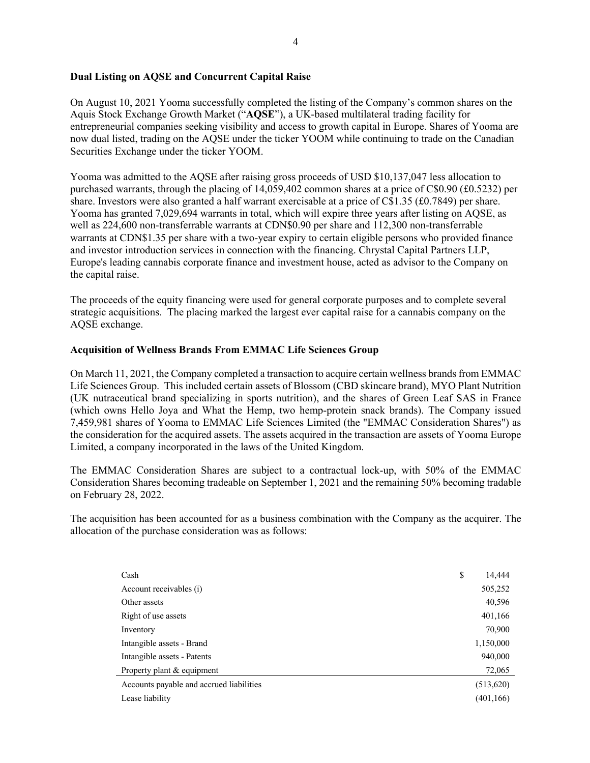# **Dual Listing on AQSE and Concurrent Capital Raise**

On August 10, 2021 Yooma successfully completed the listing of the Company's common shares on the Aquis Stock Exchange Growth Market ("**AQSE**"), a UK-based multilateral trading facility for entrepreneurial companies seeking visibility and access to growth capital in Europe. Shares of Yooma are now dual listed, trading on the AQSE under the ticker YOOM while continuing to trade on the Canadian Securities Exchange under the ticker YOOM.

Yooma was admitted to the AQSE after raising gross proceeds of USD \$10,137,047 less allocation to purchased warrants, through the placing of 14,059,402 common shares at a price of C\$0.90 (£0.5232) per share. Investors were also granted a half warrant exercisable at a price of C\$1.35 (£0.7849) per share. Yooma has granted 7,029,694 warrants in total, which will expire three years after listing on AQSE, as well as 224,600 non-transferrable warrants at CDN\$0.90 per share and 112,300 non-transferrable warrants at CDN\$1.35 per share with a two-year expiry to certain eligible persons who provided finance and investor introduction services in connection with the financing. Chrystal Capital Partners LLP, Europe's leading cannabis corporate finance and investment house, acted as advisor to the Company on the capital raise.

The proceeds of the equity financing were used for general corporate purposes and to complete several strategic acquisitions. The placing marked the largest ever capital raise for a cannabis company on the AQSE exchange.

# **Acquisition of Wellness Brands From EMMAC Life Sciences Group**

On March 11, 2021, the Company completed a transaction to acquire certain wellness brands from EMMAC Life Sciences Group. This included certain assets of Blossom (CBD skincare brand), MYO Plant Nutrition (UK nutraceutical brand specializing in sports nutrition), and the shares of Green Leaf SAS in France (which owns Hello Joya and What the Hemp, two hemp-protein snack brands). The Company issued 7,459,981 shares of Yooma to EMMAC Life Sciences Limited (the "EMMAC Consideration Shares") as the consideration for the acquired assets. The assets acquired in the transaction are assets of Yooma Europe Limited, a company incorporated in the laws of the United Kingdom.

The EMMAC Consideration Shares are subject to a contractual lock-up, with 50% of the EMMAC Consideration Shares becoming tradeable on September 1, 2021 and the remaining 50% becoming tradable on February 28, 2022.

The acquisition has been accounted for as a business combination with the Company as the acquirer. The allocation of the purchase consideration was as follows:

| Cash                                     | \$<br>14,444 |
|------------------------------------------|--------------|
| Account receivables (i)                  | 505,252      |
| Other assets                             | 40,596       |
| Right of use assets                      | 401,166      |
| Inventory                                | 70,900       |
| Intangible assets - Brand                | 1,150,000    |
| Intangible assets - Patents              | 940,000      |
| Property plant & equipment               | 72,065       |
| Accounts payable and accrued liabilities | (513,620)    |
| Lease liability                          | (401, 166)   |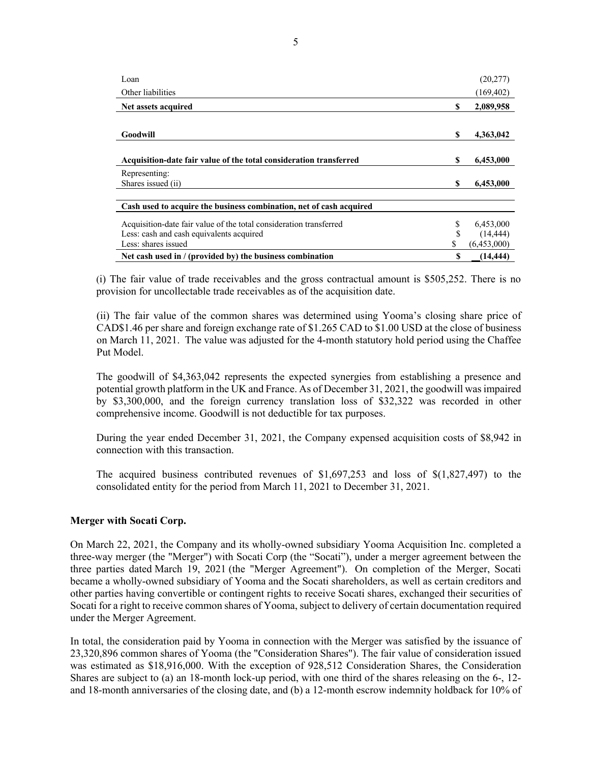| Loan                                                                |    | (20,277)    |
|---------------------------------------------------------------------|----|-------------|
| Other liabilities                                                   |    | (169, 402)  |
| Net assets acquired                                                 | \$ | 2,089,958   |
|                                                                     |    |             |
| Goodwill                                                            | S  | 4,363,042   |
|                                                                     |    |             |
| Acquisition-date fair value of the total consideration transferred  | S  | 6,453,000   |
| Representing:                                                       |    |             |
| Shares issued (ii)                                                  | \$ | 6,453,000   |
|                                                                     |    |             |
| Cash used to acquire the business combination, net of cash acquired |    |             |
| Acquisition-date fair value of the total consideration transferred  | \$ | 6,453,000   |
| Less: cash and cash equivalents acquired                            | \$ | (14, 444)   |
| Less: shares issued                                                 |    | (6,453,000) |
| Net cash used in / (provided by) the business combination           | \$ | (14, 444)   |

(i) The fair value of trade receivables and the gross contractual amount is \$505,252. There is no provision for uncollectable trade receivables as of the acquisition date.

(ii) The fair value of the common shares was determined using Yooma's closing share price of CAD\$1.46 per share and foreign exchange rate of \$1.265 CAD to \$1.00 USD at the close of business on March 11, 2021. The value was adjusted for the 4-month statutory hold period using the Chaffee Put Model.

The goodwill of \$4,363,042 represents the expected synergies from establishing a presence and potential growth platform in the UK and France. As of December 31, 2021, the goodwill was impaired by \$3,300,000, and the foreign currency translation loss of \$32,322 was recorded in other comprehensive income. Goodwill is not deductible for tax purposes.

During the year ended December 31, 2021, the Company expensed acquisition costs of \$8,942 in connection with this transaction.

The acquired business contributed revenues of \$1,697,253 and loss of \$(1,827,497) to the consolidated entity for the period from March 11, 2021 to December 31, 2021.

#### **Merger with Socati Corp.**

On March 22, 2021, the Company and its wholly-owned subsidiary Yooma Acquisition Inc. completed a three-way merger (the "Merger") with Socati Corp (the "Socati"), under a merger agreement between the three parties dated March 19, 2021 (the "Merger Agreement"). On completion of the Merger, Socati became a wholly-owned subsidiary of Yooma and the Socati shareholders, as well as certain creditors and other parties having convertible or contingent rights to receive Socati shares, exchanged their securities of Socati for a right to receive common shares of Yooma, subject to delivery of certain documentation required under the Merger Agreement.

In total, the consideration paid by Yooma in connection with the Merger was satisfied by the issuance of 23,320,896 common shares of Yooma (the "Consideration Shares"). The fair value of consideration issued was estimated as \$18,916,000. With the exception of 928,512 Consideration Shares, the Consideration Shares are subject to (a) an 18-month lock-up period, with one third of the shares releasing on the 6-, 12 and 18-month anniversaries of the closing date, and (b) a 12-month escrow indemnity holdback for 10% of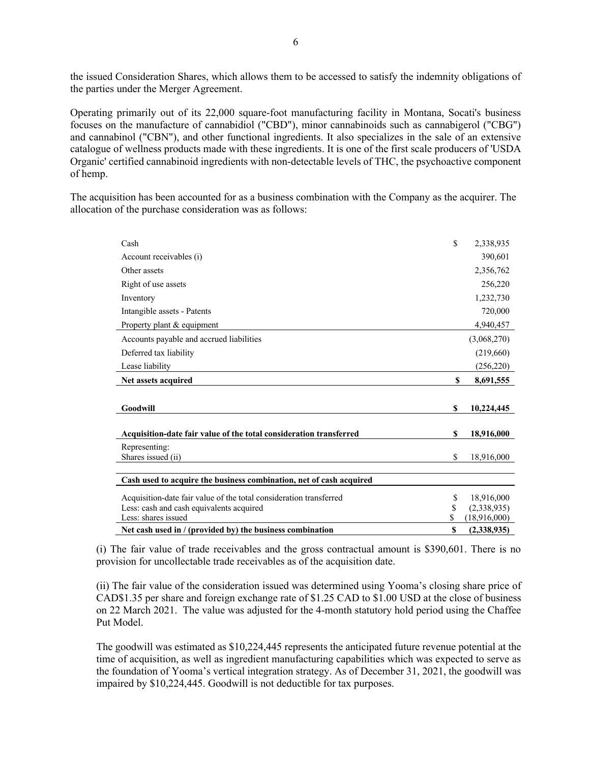the issued Consideration Shares, which allows them to be accessed to satisfy the indemnity obligations of the parties under the Merger Agreement.

Operating primarily out of its 22,000 square-foot manufacturing facility in Montana, Socati's business focuses on the manufacture of cannabidiol ("CBD"), minor cannabinoids such as cannabigerol ("CBG") and cannabinol ("CBN"), and other functional ingredients. It also specializes in the sale of an extensive catalogue of wellness products made with these ingredients. It is one of the first scale producers of 'USDA Organic' certified cannabinoid ingredients with non-detectable levels of THC, the psychoactive component of hemp.

The acquisition has been accounted for as a business combination with the Company as the acquirer. The allocation of the purchase consideration was as follows:

| Cash                                                                | \$<br>2,338,935    |
|---------------------------------------------------------------------|--------------------|
| Account receivables (i)                                             | 390,601            |
| Other assets                                                        | 2,356,762          |
| Right of use assets                                                 | 256,220            |
| Inventory                                                           | 1,232,730          |
| Intangible assets - Patents                                         | 720,000            |
| Property plant & equipment                                          | 4,940,457          |
| Accounts payable and accrued liabilities                            | (3,068,270)        |
| Deferred tax liability                                              | (219,660)          |
| Lease liability                                                     | (256, 220)         |
| Net assets acquired                                                 | \$<br>8,691,555    |
|                                                                     |                    |
| Goodwill                                                            | \$<br>10,224,445   |
|                                                                     |                    |
| Acquisition-date fair value of the total consideration transferred  | \$<br>18,916,000   |
| Representing:                                                       |                    |
| Shares issued (ii)                                                  |                    |
|                                                                     | \$<br>18,916,000   |
|                                                                     |                    |
| Cash used to acquire the business combination, net of cash acquired |                    |
| Acquisition-date fair value of the total consideration transferred  | \$<br>18,916,000   |
| Less: cash and cash equivalents acquired                            | \$<br>(2,338,935)  |
| Less: shares issued                                                 | \$<br>(18,916,000) |

(i) The fair value of trade receivables and the gross contractual amount is \$390,601. There is no provision for uncollectable trade receivables as of the acquisition date.

(ii) The fair value of the consideration issued was determined using Yooma's closing share price of CAD\$1.35 per share and foreign exchange rate of \$1.25 CAD to \$1.00 USD at the close of business on 22 March 2021. The value was adjusted for the 4-month statutory hold period using the Chaffee Put Model.

The goodwill was estimated as \$10,224,445 represents the anticipated future revenue potential at the time of acquisition, as well as ingredient manufacturing capabilities which was expected to serve as the foundation of Yooma's vertical integration strategy. As of December 31, 2021, the goodwill was impaired by \$10,224,445. Goodwill is not deductible for tax purposes.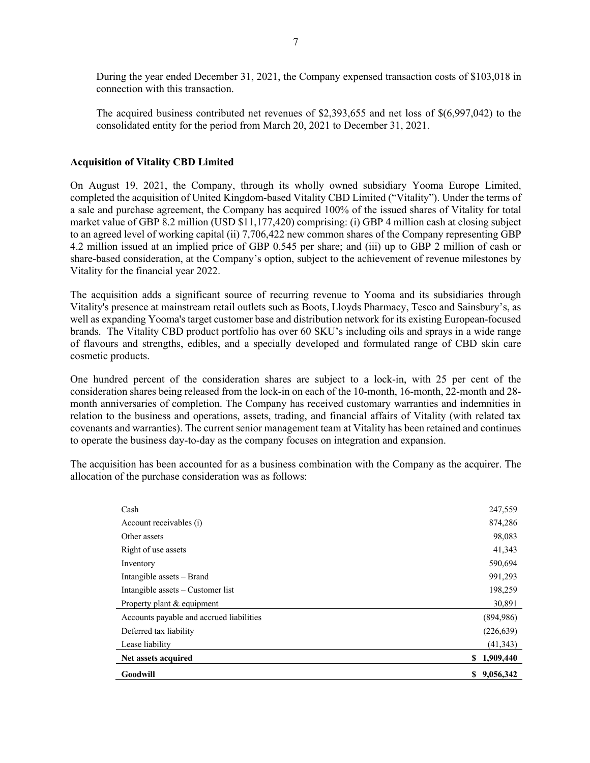During the year ended December 31, 2021, the Company expensed transaction costs of \$103,018 in connection with this transaction.

The acquired business contributed net revenues of \$2,393,655 and net loss of \$(6,997,042) to the consolidated entity for the period from March 20, 2021 to December 31, 2021.

#### **Acquisition of Vitality CBD Limited**

On August 19, 2021, the Company, through its wholly owned subsidiary Yooma Europe Limited, completed the acquisition of United Kingdom-based Vitality CBD Limited ("Vitality"). Under the terms of a sale and purchase agreement, the Company has acquired 100% of the issued shares of Vitality for total market value of GBP 8.2 million (USD \$11,177,420) comprising: (i) GBP 4 million cash at closing subject to an agreed level of working capital (ii) 7,706,422 new common shares of the Company representing GBP 4.2 million issued at an implied price of GBP 0.545 per share; and (iii) up to GBP 2 million of cash or share-based consideration, at the Company's option, subject to the achievement of revenue milestones by Vitality for the financial year 2022.

The acquisition adds a significant source of recurring revenue to Yooma and its subsidiaries through Vitality's presence at mainstream retail outlets such as Boots, Lloyds Pharmacy, Tesco and Sainsbury's, as well as expanding Yooma's target customer base and distribution network for its existing European-focused brands. The Vitality CBD product portfolio has over 60 SKU's including oils and sprays in a wide range of flavours and strengths, edibles, and a specially developed and formulated range of CBD skin care cosmetic products.

One hundred percent of the consideration shares are subject to a lock-in, with 25 per cent of the consideration shares being released from the lock-in on each of the 10-month, 16-month, 22-month and 28 month anniversaries of completion. The Company has received customary warranties and indemnities in relation to the business and operations, assets, trading, and financial affairs of Vitality (with related tax covenants and warranties). The current senior management team at Vitality has been retained and continues to operate the business day-to-day as the company focuses on integration and expansion.

The acquisition has been accounted for as a business combination with the Company as the acquirer. The allocation of the purchase consideration was as follows:

| Lease liability<br>Net assets acquired   | (894,986)<br>(226, 639)<br>(41, 343)<br>\$1,909,440 |
|------------------------------------------|-----------------------------------------------------|
|                                          |                                                     |
|                                          |                                                     |
| Deferred tax liability                   |                                                     |
| Accounts payable and accrued liabilities |                                                     |
| Property plant & equipment               | 30,891                                              |
| Intangible assets $-$ Customer list      | 198,259                                             |
| Intangible assets – Brand                | 991,293                                             |
| Inventory                                | 590,694                                             |
| Right of use assets                      | 41,343                                              |
| Other assets                             | 98,083                                              |
| Account receivables (i)                  | 874,286                                             |
| Cash                                     | 247,559                                             |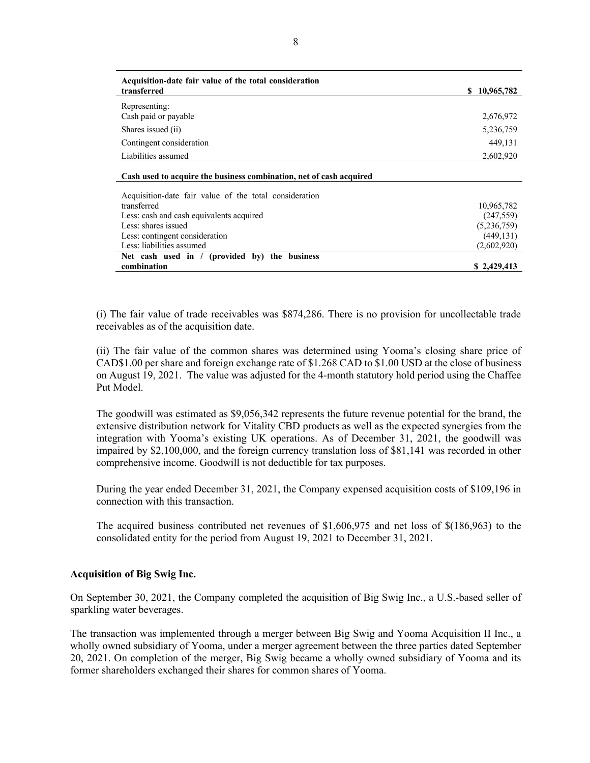| Acquisition-date fair value of the total consideration<br>transferred | 10,965,782<br>SS. |
|-----------------------------------------------------------------------|-------------------|
| Representing:                                                         |                   |
| Cash paid or payable                                                  | 2,676,972         |
| Shares issued (ii)                                                    | 5,236,759         |
| Contingent consideration                                              | 449,131           |
| Liabilities assumed                                                   | 2,602,920         |
| Cash used to acquire the business combination, net of cash acquired   |                   |
| Acquisition-date fair value of the total consideration                |                   |
| transferred                                                           | 10,965,782        |
| Less: cash and cash equivalents acquired                              | (247, 559)        |
| Less: shares issued                                                   | (5,236,759)       |
| Less: contingent consideration                                        | (449, 131)        |
| Less: liabilities assumed                                             | (2,602,920)       |
| Net cash used in / (provided by) the business                         |                   |
| combination                                                           | \$2,429,413       |

(i) The fair value of trade receivables was \$874,286. There is no provision for uncollectable trade receivables as of the acquisition date.

(ii) The fair value of the common shares was determined using Yooma's closing share price of CAD\$1.00 per share and foreign exchange rate of \$1.268 CAD to \$1.00 USD at the close of business on August 19, 2021. The value was adjusted for the 4-month statutory hold period using the Chaffee Put Model.

The goodwill was estimated as \$9,056,342 represents the future revenue potential for the brand, the extensive distribution network for Vitality CBD products as well as the expected synergies from the integration with Yooma's existing UK operations. As of December 31, 2021, the goodwill was impaired by \$2,100,000, and the foreign currency translation loss of \$81,141 was recorded in other comprehensive income. Goodwill is not deductible for tax purposes.

During the year ended December 31, 2021, the Company expensed acquisition costs of \$109,196 in connection with this transaction.

The acquired business contributed net revenues of \$1,606,975 and net loss of \$(186,963) to the consolidated entity for the period from August 19, 2021 to December 31, 2021.

#### **Acquisition of Big Swig Inc.**

On September 30, 2021, the Company completed the acquisition of Big Swig Inc., a U.S.-based seller of sparkling water beverages.

The transaction was implemented through a merger between Big Swig and Yooma Acquisition II Inc., a wholly owned subsidiary of Yooma, under a merger agreement between the three parties dated September 20, 2021. On completion of the merger, Big Swig became a wholly owned subsidiary of Yooma and its former shareholders exchanged their shares for common shares of Yooma.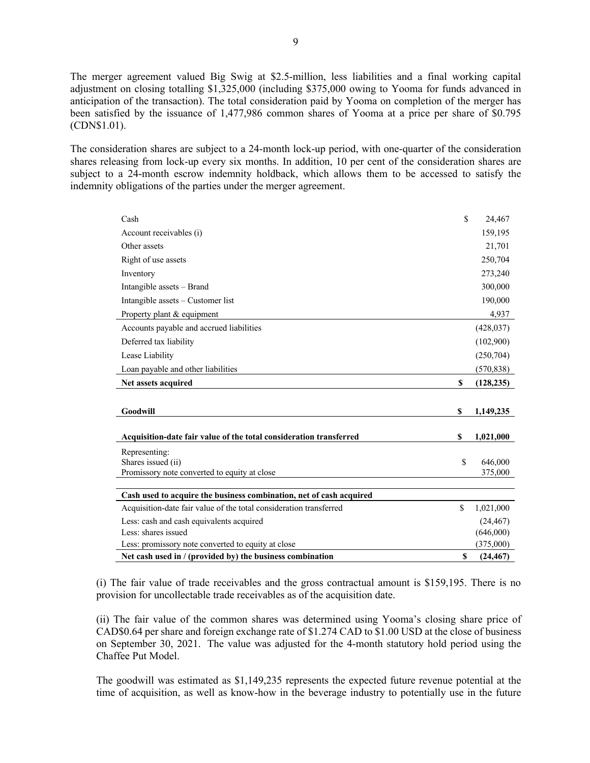The merger agreement valued Big Swig at \$2.5-million, less liabilities and a final working capital adjustment on closing totalling \$1,325,000 (including \$375,000 owing to Yooma for funds advanced in anticipation of the transaction). The total consideration paid by Yooma on completion of the merger has been satisfied by the issuance of 1,477,986 common shares of Yooma at a price per share of \$0.795 (CDN\$1.01).

The consideration shares are subject to a 24-month lock-up period, with one-quarter of the consideration shares releasing from lock-up every six months. In addition, 10 per cent of the consideration shares are subject to a 24-month escrow indemnity holdback, which allows them to be accessed to satisfy the indemnity obligations of the parties under the merger agreement.

| Cash                                                                | \$           | 24,467     |
|---------------------------------------------------------------------|--------------|------------|
| Account receivables (i)                                             |              | 159,195    |
| Other assets                                                        |              | 21,701     |
| Right of use assets                                                 |              | 250,704    |
| Inventory                                                           |              | 273,240    |
| Intangible assets - Brand                                           |              | 300,000    |
| Intangible assets – Customer list                                   |              | 190,000    |
| Property plant & equipment                                          |              | 4,937      |
| Accounts payable and accrued liabilities                            |              | (428, 037) |
| Deferred tax liability                                              |              | (102,900)  |
| Lease Liability                                                     |              | (250, 704) |
| Loan payable and other liabilities                                  |              | (570, 838) |
| Net assets acquired                                                 | \$           | (128, 235) |
|                                                                     |              |            |
| Goodwill                                                            | \$           | 1,149,235  |
|                                                                     |              |            |
| Acquisition-date fair value of the total consideration transferred  | \$           | 1,021,000  |
| Representing:                                                       |              |            |
| Shares issued (ii)                                                  | $\mathbb{S}$ | 646,000    |
| Promissory note converted to equity at close                        |              | 375,000    |
|                                                                     |              |            |
| Cash used to acquire the business combination, net of cash acquired |              |            |
| Acquisition-date fair value of the total consideration transferred  | \$           | 1,021,000  |
| Less: cash and cash equivalents acquired                            |              | (24, 467)  |
| Less: shares issued                                                 |              | (646,000)  |
| Less: promissory note converted to equity at close                  |              | (375,000)  |
| Net cash used in / (provided by) the business combination           | \$           | (24, 467)  |

(i) The fair value of trade receivables and the gross contractual amount is \$159,195. There is no provision for uncollectable trade receivables as of the acquisition date.

(ii) The fair value of the common shares was determined using Yooma's closing share price of CAD\$0.64 per share and foreign exchange rate of \$1.274 CAD to \$1.00 USD at the close of business on September 30, 2021. The value was adjusted for the 4-month statutory hold period using the Chaffee Put Model.

The goodwill was estimated as \$1,149,235 represents the expected future revenue potential at the time of acquisition, as well as know-how in the beverage industry to potentially use in the future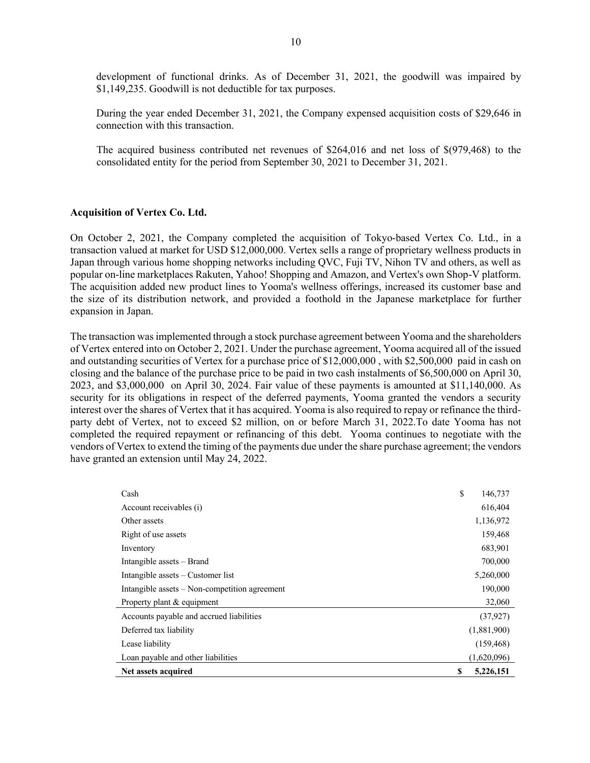development of functional drinks. As of December 31, 2021, the goodwill was impaired by \$1,149,235. Goodwill is not deductible for tax purposes.

During the year ended December 31, 2021, the Company expensed acquisition costs of \$29,646 in connection with this transaction.

The acquired business contributed net revenues of \$264,016 and net loss of \$(979,468) to the consolidated entity for the period from September 30, 2021 to December 31, 2021.

#### **Acquisition of Vertex Co. Ltd.**

On October 2, 2021, the Company completed the acquisition of Tokyo-based Vertex Co. Ltd., in a transaction valued at market for USD \$12,000,000. Vertex sells a range of proprietary wellness products in Japan through various home shopping networks including QVC, Fuji TV, Nihon TV and others, as well as popular on-line marketplaces Rakuten, Yahoo! Shopping and Amazon, and Vertex's own Shop-V platform. The acquisition added new product lines to Yooma's wellness offerings, increased its customer base and the size of its distribution network, and provided a foothold in the Japanese marketplace for further expansion in Japan.

The transaction was implemented through a stock purchase agreement between Yooma and the shareholders of Vertex entered into on October 2, 2021. Under the purchase agreement, Yooma acquired all of the issued and outstanding securities of Vertex for a purchase price of \$12,000,000 , with \$2,500,000 paid in cash on closing and the balance of the purchase price to be paid in two cash instalments of \$6,500,000 on April 30, 2023, and \$3,000,000 on April 30, 2024. Fair value of these payments is amounted at \$11,140,000. As security for its obligations in respect of the deferred payments, Yooma granted the vendors a security interest over the shares of Vertex that it has acquired. Yooma is also required to repay or refinance the thirdparty debt of Vertex, not to exceed \$2 million, on or before March 31, 2022.To date Yooma has not completed the required repayment or refinancing of this debt. Yooma continues to negotiate with the vendors of Vertex to extend the timing of the payments due under the share purchase agreement; the vendors have granted an extension until May 24, 2022.

| Cash                                          | \$<br>146,737   |
|-----------------------------------------------|-----------------|
| Account receivables (i)                       | 616,404         |
| Other assets                                  | 1,136,972       |
| Right of use assets                           | 159,468         |
| Inventory                                     | 683,901         |
| Intangible assets – Brand                     | 700,000         |
| Intangible assets $-$ Customer list           | 5,260,000       |
| Intangible assets – Non-competition agreement | 190,000         |
| Property plant & equipment                    | 32,060          |
| Accounts payable and accrued liabilities      | (37, 927)       |
| Deferred tax liability                        | (1,881,900)     |
| Lease liability                               | (159, 468)      |
| Loan payable and other liabilities            | (1,620,096)     |
| Net assets acquired                           | \$<br>5,226,151 |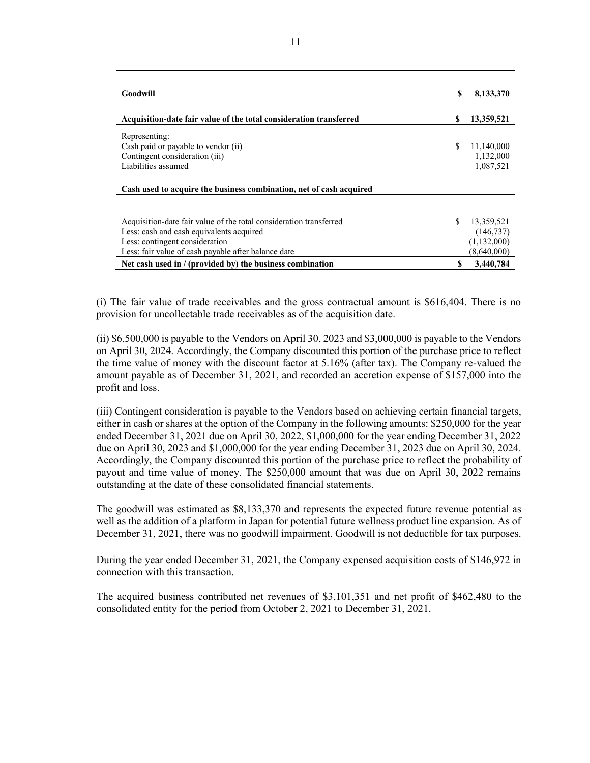| Goodwill                                                            | \$ | 8,133,370   |
|---------------------------------------------------------------------|----|-------------|
| Acquisition-date fair value of the total consideration transferred  | S  | 13,359,521  |
| Representing:                                                       |    |             |
| Cash paid or payable to vendor (ii)                                 | \$ | 11,140,000  |
| Contingent consideration (iii)                                      |    | 1,132,000   |
| Liabilities assumed                                                 |    | 1,087,521   |
| Cash used to acquire the business combination, net of cash acquired |    |             |
| Acquisition-date fair value of the total consideration transferred  | S. | 13,359,521  |
| Less: cash and cash equivalents acquired                            |    | (146, 737)  |
| Less: contingent consideration                                      |    | (1,132,000) |
| Less: fair value of cash payable after balance date                 |    | (8,640,000) |
| Net cash used in / (provided by) the business combination           | S  | 3,440,784   |

(i) The fair value of trade receivables and the gross contractual amount is \$616,404. There is no provision for uncollectable trade receivables as of the acquisition date.

(ii) \$6,500,000 is payable to the Vendors on April 30, 2023 and \$3,000,000 is payable to the Vendors on April 30, 2024. Accordingly, the Company discounted this portion of the purchase price to reflect the time value of money with the discount factor at 5.16% (after tax). The Company re-valued the amount payable as of December 31, 2021, and recorded an accretion expense of \$157,000 into the profit and loss.

(iii) Contingent consideration is payable to the Vendors based on achieving certain financial targets, either in cash or shares at the option of the Company in the following amounts: \$250,000 for the year ended December 31, 2021 due on April 30, 2022, \$1,000,000 for the year ending December 31, 2022 due on April 30, 2023 and \$1,000,000 for the year ending December 31, 2023 due on April 30, 2024. Accordingly, the Company discounted this portion of the purchase price to reflect the probability of payout and time value of money. The \$250,000 amount that was due on April 30, 2022 remains outstanding at the date of these consolidated financial statements.

The goodwill was estimated as \$8,133,370 and represents the expected future revenue potential as well as the addition of a platform in Japan for potential future wellness product line expansion. As of December 31, 2021, there was no goodwill impairment. Goodwill is not deductible for tax purposes.

During the year ended December 31, 2021, the Company expensed acquisition costs of \$146,972 in connection with this transaction.

The acquired business contributed net revenues of \$3,101,351 and net profit of \$462,480 to the consolidated entity for the period from October 2, 2021 to December 31, 2021.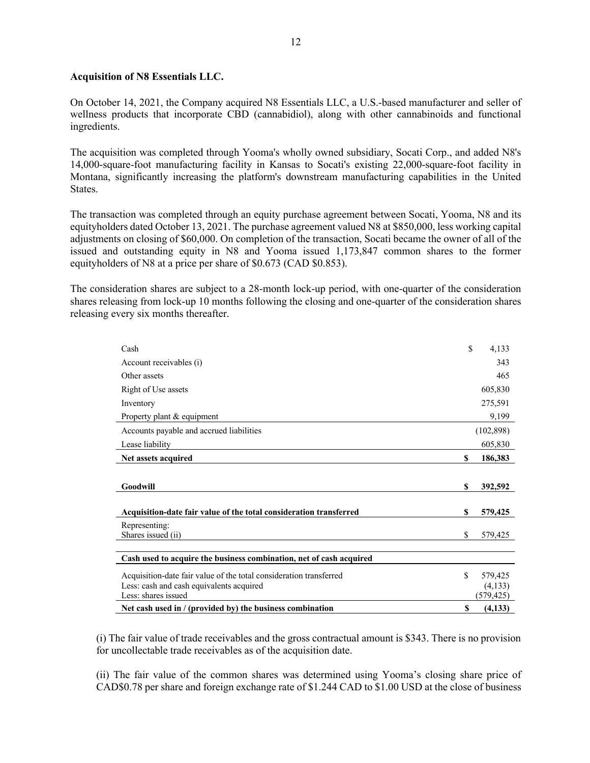# **Acquisition of N8 Essentials LLC.**

On October 14, 2021, the Company acquired N8 Essentials LLC, a U.S.-based manufacturer and seller of wellness products that incorporate CBD (cannabidiol), along with other cannabinoids and functional ingredients.

The acquisition was completed through Yooma's wholly owned subsidiary, Socati Corp., and added N8's 14,000-square-foot manufacturing facility in Kansas to Socati's existing 22,000-square-foot facility in Montana, significantly increasing the platform's downstream manufacturing capabilities in the United States.

The transaction was completed through an equity purchase agreement between Socati, Yooma, N8 and its equityholders dated October 13, 2021. The purchase agreement valued N8 at \$850,000, less working capital adjustments on closing of \$60,000. On completion of the transaction, Socati became the owner of all of the issued and outstanding equity in N8 and Yooma issued 1,173,847 common shares to the former equityholders of N8 at a price per share of \$0.673 (CAD \$0.853).

The consideration shares are subject to a 28-month lock-up period, with one-quarter of the consideration shares releasing from lock-up 10 months following the closing and one-quarter of the consideration shares releasing every six months thereafter.

| Cash                                                                | \$ | 4,133      |
|---------------------------------------------------------------------|----|------------|
| Account receivables (i)                                             |    | 343        |
| Other assets                                                        |    | 465        |
| Right of Use assets                                                 |    | 605,830    |
| Inventory                                                           |    | 275,591    |
| Property plant & equipment                                          |    | 9,199      |
| Accounts payable and accrued liabilities                            |    | (102, 898) |
| Lease liability                                                     |    | 605,830    |
| Net assets acquired                                                 | \$ | 186,383    |
|                                                                     |    |            |
| Goodwill                                                            | S  | 392,592    |
|                                                                     |    |            |
| Acquisition-date fair value of the total consideration transferred  | S  | 579,425    |
| Representing:                                                       |    |            |
| Shares issued (ii)                                                  | S  | 579,425    |
|                                                                     |    |            |
| Cash used to acquire the business combination, net of cash acquired |    |            |
| Acquisition-date fair value of the total consideration transferred  | S  | 579,425    |
| Less: cash and cash equivalents acquired                            |    | (4,133)    |
| Less: shares issued                                                 |    | (579, 425) |
| Net cash used in / (provided by) the business combination           | S  | (4,133)    |

(i) The fair value of trade receivables and the gross contractual amount is \$343. There is no provision for uncollectable trade receivables as of the acquisition date.

(ii) The fair value of the common shares was determined using Yooma's closing share price of CAD\$0.78 per share and foreign exchange rate of \$1.244 CAD to \$1.00 USD at the close of business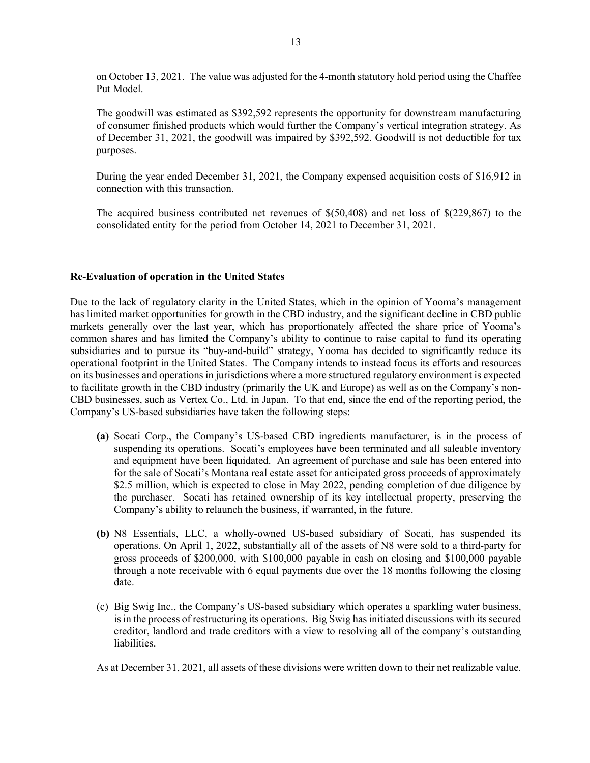on October 13, 2021. The value was adjusted for the 4-month statutory hold period using the Chaffee Put Model.

The goodwill was estimated as \$392,592 represents the opportunity for downstream manufacturing of consumer finished products which would further the Company's vertical integration strategy. As of December 31, 2021, the goodwill was impaired by \$392,592. Goodwill is not deductible for tax purposes.

During the year ended December 31, 2021, the Company expensed acquisition costs of \$16,912 in connection with this transaction.

The acquired business contributed net revenues of \$(50,408) and net loss of \$(229,867) to the consolidated entity for the period from October 14, 2021 to December 31, 2021.

#### **Re-Evaluation of operation in the United States**

Due to the lack of regulatory clarity in the United States, which in the opinion of Yooma's management has limited market opportunities for growth in the CBD industry, and the significant decline in CBD public markets generally over the last year, which has proportionately affected the share price of Yooma's common shares and has limited the Company's ability to continue to raise capital to fund its operating subsidiaries and to pursue its "buy-and-build" strategy, Yooma has decided to significantly reduce its operational footprint in the United States. The Company intends to instead focus its efforts and resources on its businesses and operations in jurisdictions where a more structured regulatory environment is expected to facilitate growth in the CBD industry (primarily the UK and Europe) as well as on the Company's non-CBD businesses, such as Vertex Co., Ltd. in Japan. To that end, since the end of the reporting period, the Company's US-based subsidiaries have taken the following steps:

- **(a)** Socati Corp., the Company's US-based CBD ingredients manufacturer, is in the process of suspending its operations. Socati's employees have been terminated and all saleable inventory and equipment have been liquidated. An agreement of purchase and sale has been entered into for the sale of Socati's Montana real estate asset for anticipated gross proceeds of approximately \$2.5 million, which is expected to close in May 2022, pending completion of due diligence by the purchaser. Socati has retained ownership of its key intellectual property, preserving the Company's ability to relaunch the business, if warranted, in the future.
- **(b)** N8 Essentials, LLC, a wholly-owned US-based subsidiary of Socati, has suspended its operations. On April 1, 2022, substantially all of the assets of N8 were sold to a third-party for gross proceeds of \$200,000, with \$100,000 payable in cash on closing and \$100,000 payable through a note receivable with 6 equal payments due over the 18 months following the closing date.
- (c) Big Swig Inc., the Company's US-based subsidiary which operates a sparkling water business, is in the process of restructuring its operations. Big Swig has initiated discussions with its secured creditor, landlord and trade creditors with a view to resolving all of the company's outstanding liabilities.

As at December 31, 2021, all assets of these divisions were written down to their net realizable value.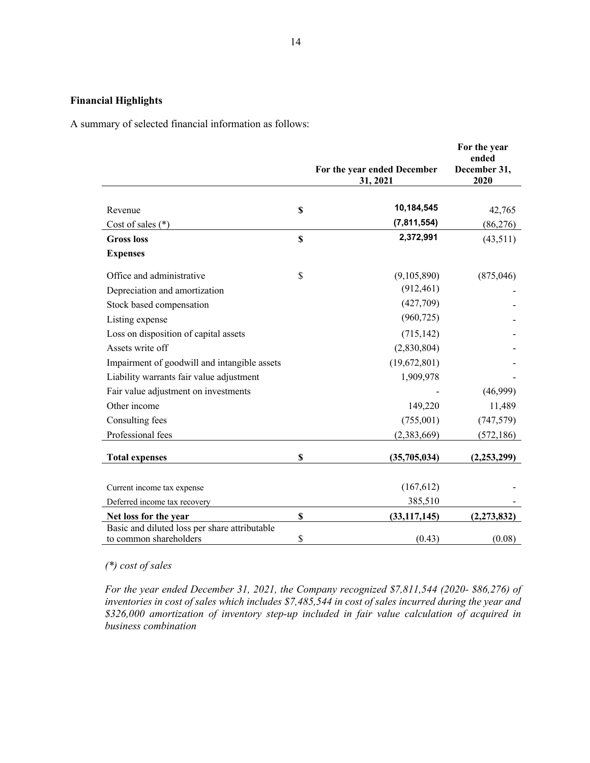# **Financial Highlights**

A summary of selected financial information as follows:

|                                                                         |             | For the year ended December<br>31, 2021 | For the year<br>ended<br>December 31,<br>2020 |
|-------------------------------------------------------------------------|-------------|-----------------------------------------|-----------------------------------------------|
|                                                                         |             |                                         |                                               |
| Revenue                                                                 | \$          | 10,184,545                              | 42,765                                        |
| Cost of sales $(*)$                                                     |             | (7, 811, 554)                           | (86,276)                                      |
| <b>Gross</b> loss                                                       | $\mathbf S$ | 2,372,991                               | (43,511)                                      |
| <b>Expenses</b>                                                         |             |                                         |                                               |
| Office and administrative                                               | \$          | (9,105,890)                             | (875,046)                                     |
| Depreciation and amortization                                           |             | (912, 461)                              |                                               |
| Stock based compensation                                                |             | (427,709)                               |                                               |
| Listing expense                                                         |             | (960, 725)                              |                                               |
| Loss on disposition of capital assets                                   |             | (715, 142)                              |                                               |
| Assets write off                                                        |             | (2,830,804)                             |                                               |
| Impairment of goodwill and intangible assets                            |             | (19,672,801)                            |                                               |
| Liability warrants fair value adjustment                                |             | 1,909,978                               |                                               |
| Fair value adjustment on investments                                    |             |                                         | (46,999)                                      |
| Other income                                                            |             | 149,220                                 | 11,489                                        |
| Consulting fees                                                         |             | (755,001)                               | (747, 579)                                    |
| Professional fees                                                       |             | (2,383,669)                             | (572, 186)                                    |
| <b>Total expenses</b>                                                   | $\mathbf S$ | (35,705,034)                            | (2, 253, 299)                                 |
|                                                                         |             |                                         |                                               |
| Current income tax expense                                              |             | (167, 612)                              |                                               |
| Deferred income tax recovery                                            |             | 385,510                                 |                                               |
| Net loss for the year                                                   | \$          | (33, 117, 145)                          | (2, 273, 832)                                 |
| Basic and diluted loss per share attributable<br>to common shareholders | \$          | (0.43)                                  | (0.08)                                        |

# *(\*) cost of sales*

*For the year ended December 31, 2021, the Company recognized \$7,811,544 (2020- \$86,276) of inventories in cost of sales which includes \$7,485,544 in cost of sales incurred during the year and \$326,000 amortization of inventory step-up included in fair value calculation of acquired in business combination*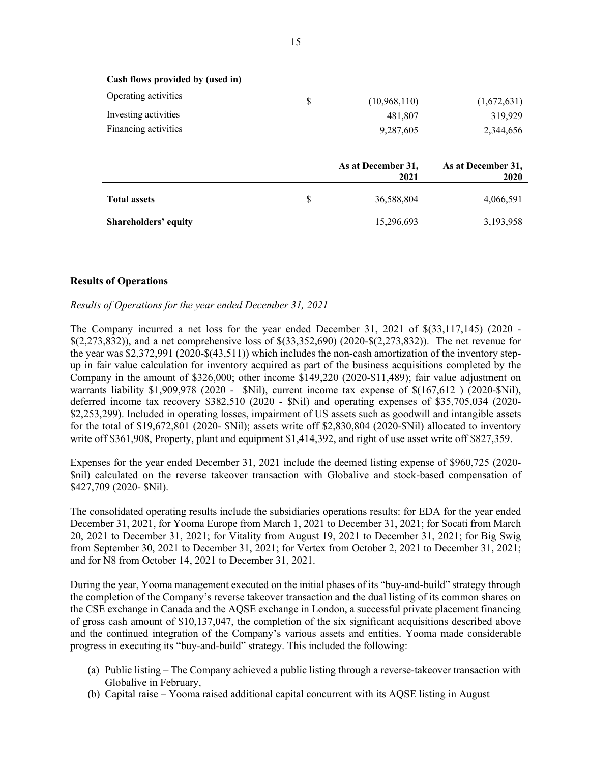|                                  | As at December 31,<br>2021 | As at December 31,<br>2020 |
|----------------------------------|----------------------------|----------------------------|
| Financing activities             | 9,287,605                  | 2,344,656                  |
| Investing activities             | 481,807                    | 319,929                    |
| Operating activities             | \$<br>(10,968,110)         | (1,672,631)                |
| Cash flows provided by (used in) |                            |                            |

|                             | 2021             | 2020      |
|-----------------------------|------------------|-----------|
| <b>Total assets</b>         | \$<br>36,588,804 | 4,066,591 |
| <b>Shareholders' equity</b> | 15,296,693       | 3,193,958 |

#### **Results of Operations**

#### *Results of Operations for the year ended December 31, 2021*

The Company incurred a net loss for the year ended December 31, 2021 of \$(33,117,145) (2020 - \$(2,273,832)), and a net comprehensive loss of \$(33,352,690) (2020-\$(2,273,832)). The net revenue for the year was \$2,372,991 (2020-\$(43,511)) which includes the non-cash amortization of the inventory stepup in fair value calculation for inventory acquired as part of the business acquisitions completed by the Company in the amount of \$326,000; other income \$149,220 (2020-\$11,489); fair value adjustment on warrants liability \$1,909,978 (2020 - \$Nil), current income tax expense of \$(167,612 ) (2020-\$Nil), deferred income tax recovery \$382,510 (2020 - \$Nil) and operating expenses of \$35,705,034 (2020- \$2,253,299). Included in operating losses, impairment of US assets such as goodwill and intangible assets for the total of \$19,672,801 (2020- \$Nil); assets write off \$2,830,804 (2020-\$Nil) allocated to inventory write off \$361,908, Property, plant and equipment \$1,414,392, and right of use asset write off \$827,359.

Expenses for the year ended December 31, 2021 include the deemed listing expense of \$960,725 (2020- \$nil) calculated on the reverse takeover transaction with Globalive and stock-based compensation of \$427,709 (2020- \$Nil).

The consolidated operating results include the subsidiaries operations results: for EDA for the year ended December 31, 2021, for Yooma Europe from March 1, 2021 to December 31, 2021; for Socati from March 20, 2021 to December 31, 2021; for Vitality from August 19, 2021 to December 31, 2021; for Big Swig from September 30, 2021 to December 31, 2021; for Vertex from October 2, 2021 to December 31, 2021; and for N8 from October 14, 2021 to December 31, 2021.

During the year, Yooma management executed on the initial phases of its "buy-and-build" strategy through the completion of the Company's reverse takeover transaction and the dual listing of its common shares on the CSE exchange in Canada and the AQSE exchange in London, a successful private placement financing of gross cash amount of \$10,137,047, the completion of the six significant acquisitions described above and the continued integration of the Company's various assets and entities. Yooma made considerable progress in executing its "buy-and-build" strategy. This included the following:

- (a) Public listing The Company achieved a public listing through a reverse-takeover transaction with Globalive in February,
- (b) Capital raise Yooma raised additional capital concurrent with its AQSE listing in August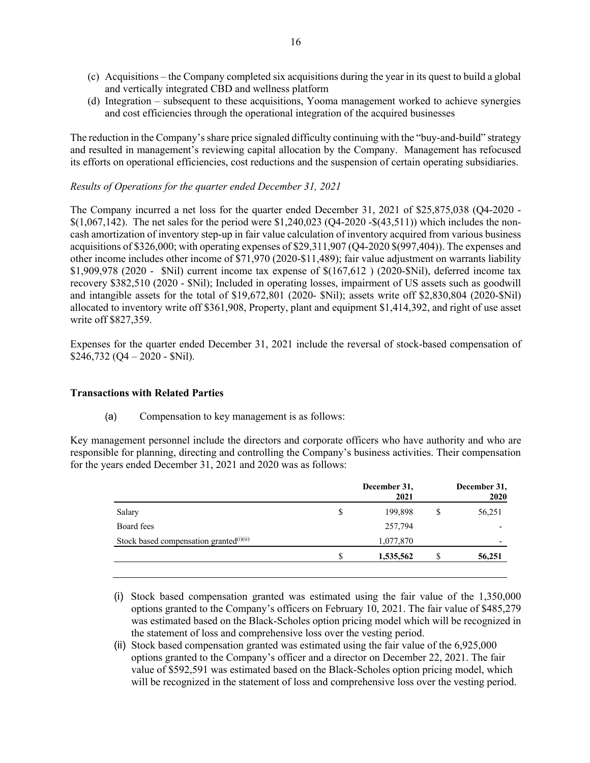- (c) Acquisitions the Company completed six acquisitions during the year in its quest to build a global and vertically integrated CBD and wellness platform
- (d) Integration subsequent to these acquisitions, Yooma management worked to achieve synergies and cost efficiencies through the operational integration of the acquired businesses

The reduction in the Company's share price signaled difficulty continuing with the "buy-and-build" strategy and resulted in management's reviewing capital allocation by the Company. Management has refocused its efforts on operational efficiencies, cost reductions and the suspension of certain operating subsidiaries.

# *Results of Operations for the quarter ended December 31, 2021*

The Company incurred a net loss for the quarter ended December 31, 2021 of \$25,875,038 (Q4-2020 - \$(1,067,142). The net sales for the period were \$1,240,023 (Q4-2020 -\$(43,511)) which includes the noncash amortization of inventory step-up in fair value calculation of inventory acquired from various business acquisitions of \$326,000; with operating expenses of \$29,311,907 (Q4-2020 \$(997,404)). The expenses and other income includes other income of \$71,970 (2020-\$11,489); fair value adjustment on warrants liability \$1,909,978 (2020 - \$Nil) current income tax expense of \$(167,612 ) (2020-\$Nil), deferred income tax recovery \$382,510 (2020 - \$Nil); Included in operating losses, impairment of US assets such as goodwill and intangible assets for the total of \$19,672,801 (2020- \$Nil); assets write off \$2,830,804 (2020-\$Nil) allocated to inventory write off \$361,908, Property, plant and equipment \$1,414,392, and right of use asset write off \$827,359.

Expenses for the quarter ended December 31, 2021 include the reversal of stock-based compensation of  $$246,732$  (O4 – 2020 - \$Nil).

#### **Transactions with Related Parties**

(a) Compensation to key management is as follows:

Key management personnel include the directors and corporate officers who have authority and who are responsible for planning, directing and controlling the Company's business activities. Their compensation for the years ended December 31, 2021 and 2020 was as follows:

|    | December 31,<br>2021 | December 31,<br>2020 |
|----|----------------------|----------------------|
| \$ | 199,898              | 56,251               |
|    | 257,794              |                      |
|    | 1,077,870            |                      |
| S  | 1,535,562            | 56,251               |
|    |                      |                      |

- (i) Stock based compensation granted was estimated using the fair value of the 1,350,000 options granted to the Company's officers on February 10, 2021. The fair value of \$485,279 was estimated based on the Black-Scholes option pricing model which will be recognized in the statement of loss and comprehensive loss over the vesting period.
- (ii) Stock based compensation granted was estimated using the fair value of the 6,925,000 options granted to the Company's officer and a director on December 22, 2021. The fair value of \$592,591 was estimated based on the Black-Scholes option pricing model, which will be recognized in the statement of loss and comprehensive loss over the vesting period.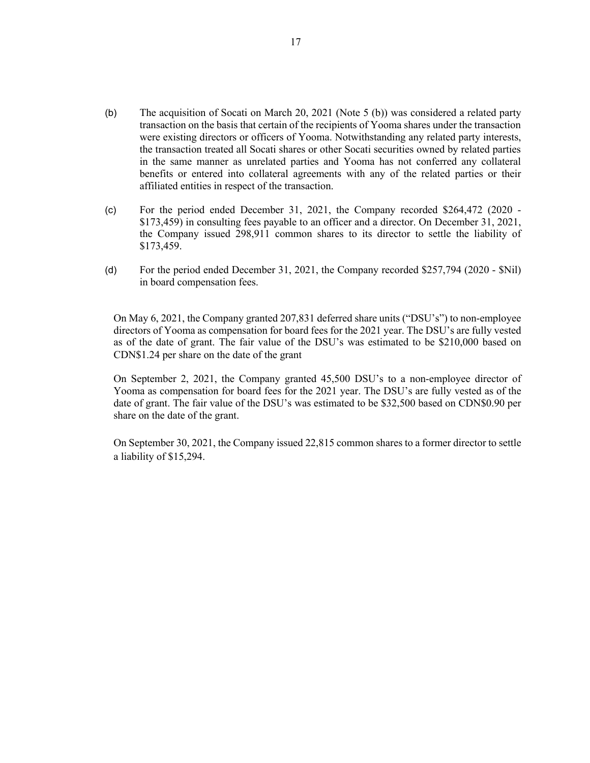- (b) The acquisition of Socati on March 20, 2021 (Note 5 (b)) was considered a related party transaction on the basis that certain of the recipients of Yooma shares under the transaction were existing directors or officers of Yooma. Notwithstanding any related party interests, the transaction treated all Socati shares or other Socati securities owned by related parties in the same manner as unrelated parties and Yooma has not conferred any collateral benefits or entered into collateral agreements with any of the related parties or their affiliated entities in respect of the transaction.
- (c) For the period ended December 31, 2021, the Company recorded \$264,472 (2020 \$173,459) in consulting fees payable to an officer and a director. On December 31, 2021, the Company issued 298,911 common shares to its director to settle the liability of \$173,459.
- (d) For the period ended December 31, 2021, the Company recorded \$257,794 (2020 \$Nil) in board compensation fees.

On May 6, 2021, the Company granted 207,831 deferred share units ("DSU's") to non-employee directors of Yooma as compensation for board fees for the 2021 year. The DSU's are fully vested as of the date of grant. The fair value of the DSU's was estimated to be \$210,000 based on CDN\$1.24 per share on the date of the grant

On September 2, 2021, the Company granted 45,500 DSU's to a non-employee director of Yooma as compensation for board fees for the 2021 year. The DSU's are fully vested as of the date of grant. The fair value of the DSU's was estimated to be \$32,500 based on CDN\$0.90 per share on the date of the grant.

On September 30, 2021, the Company issued 22,815 common shares to a former director to settle a liability of \$15,294.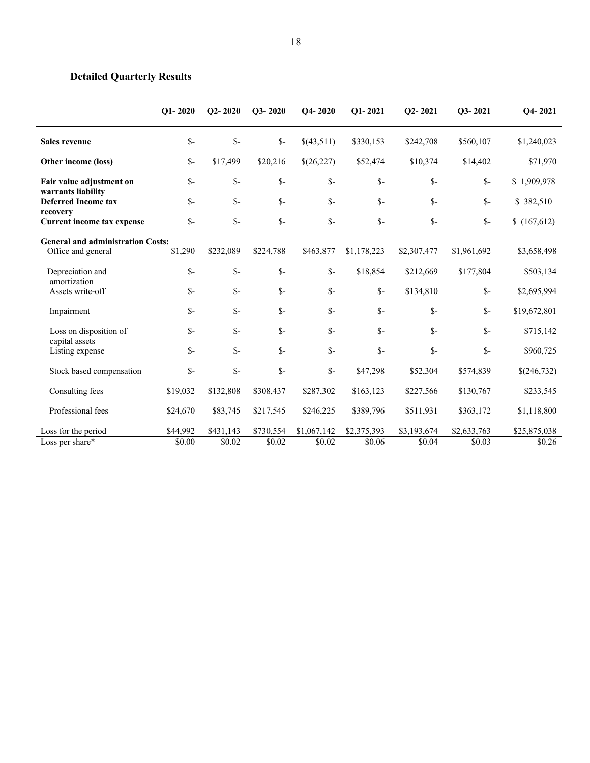# **Detailed Quarterly Results**

|                                                | $Q1 - 2020$ | $Q2 - 2020$    | Q3-2020         | $Q4 - 2020$ | $Q1 - 2021$ | $Q2 - 2021$     | Q3-2021        | $Q4 - 2021$  |
|------------------------------------------------|-------------|----------------|-----------------|-------------|-------------|-----------------|----------------|--------------|
| <b>Sales revenue</b>                           | $S-$        | $S-$           | $S-$            | \$(43,511)  | \$330,153   | \$242,708       | \$560,107      | \$1,240,023  |
| Other income (loss)                            | $S-$        | \$17,499       | \$20,216        | \$(26,227)  | \$52,474    | \$10,374        | \$14,402       | \$71,970     |
| Fair value adjustment on<br>warrants liability | $S-$        | $S-$           | $S-$            | $S-$        | $S-$        | $S-$            | $S-$           | \$1,909,978  |
| <b>Deferred Income tax</b>                     | $S-$        | $S-$           | $S-$            | $S-$        | $S-$        | $S-$            | $S-$           | \$382,510    |
| recovery<br>Current income tax expense         | $S-$        | $S-$           | $S-$            | $S-$        | $S-$        | $S-$            | $\mathbb{S}^-$ | \$(167,612)  |
| <b>General and administration Costs:</b>       |             |                |                 |             |             |                 |                |              |
| Office and general                             | \$1,290     | \$232,089      | \$224,788       | \$463,877   | \$1,178,223 | \$2,307,477     | \$1,961,692    | \$3,658,498  |
| Depreciation and<br>amortization               | $S-$        | $S-$           | $S-$            | $S-$        | \$18,854    | \$212,669       | \$177,804      | \$503,134    |
| Assets write-off                               | $S-$        | $S-$           | $S-$            | $S-$        | $S-$        | \$134,810       | $S-$           | \$2,695,994  |
| Impairment                                     | $S-$        | $S-$           | $S-$            | $S-$        | $S-$        | $S-$            | $S-$           | \$19,672,801 |
| Loss on disposition of<br>capital assets       | $S-$        | $S-$           | $\mathcal{S}$ - | $S-$        | $S-$        | $\mathcal{S}$ - | $S-$           | \$715,142    |
| Listing expense                                | $S-$        | $S-$           | $S-$            | $S-$        | $S-$        | $\mathbb{S}^-$  | $S-$           | \$960,725    |
| Stock based compensation                       | $S-$        | $\mathsf{S}$ - | $S-$            | $S-$        | \$47,298    | \$52,304        | \$574,839      | \$(246,732)  |
| Consulting fees                                | \$19,032    | \$132,808      | \$308,437       | \$287,302   | \$163,123   | \$227,566       | \$130,767      | \$233,545    |
| Professional fees                              | \$24,670    | \$83,745       | \$217,545       | \$246,225   | \$389,796   | \$511,931       | \$363,172      | \$1,118,800  |
| Loss for the period                            | \$44,992    | \$431,143      | \$730,554       | \$1,067,142 | \$2,375,393 | \$3,193,674     | \$2,633,763    | \$25,875,038 |
| Loss per share*                                | \$0.00      | \$0.02         | \$0.02          | \$0.02      | \$0.06      | \$0.04          | \$0.03         | \$0.26       |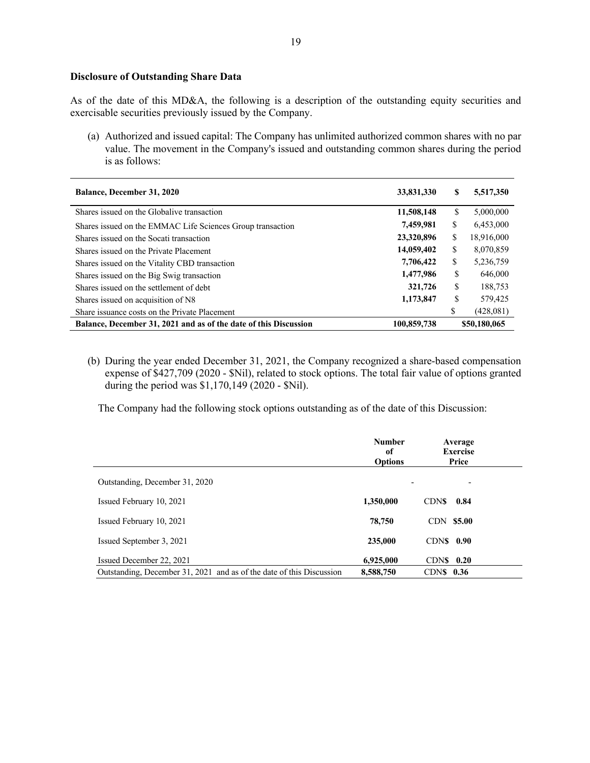# **Disclosure of Outstanding Share Data**

As of the date of this MD&A, the following is a description of the outstanding equity securities and exercisable securities previously issued by the Company.

(a) Authorized and issued capital: The Company has unlimited authorized common shares with no par value. The movement in the Company's issued and outstanding common shares during the period is as follows:

| <b>Balance, December 31, 2020</b>                                | 33,831,330  | S  | 5,517,350    |
|------------------------------------------------------------------|-------------|----|--------------|
| Shares issued on the Globalive transaction                       | 11,508,148  | S  | 5,000,000    |
| Shares issued on the EMMAC Life Sciences Group transaction       | 7,459,981   | S  | 6,453,000    |
| Shares issued on the Socati transaction                          | 23,320,896  | \$ | 18,916,000   |
| Shares issued on the Private Placement                           | 14,059,402  | \$ | 8,070,859    |
| Shares issued on the Vitality CBD transaction                    | 7,706,422   | \$ | 5,236,759    |
| Shares issued on the Big Swig transaction                        | 1,477,986   | \$ | 646,000      |
| Shares issued on the settlement of debt                          | 321,726     | \$ | 188,753      |
| Shares issued on acquisition of N8                               | 1,173,847   | \$ | 579,425      |
| Share issuance costs on the Private Placement                    |             | \$ | (428,081)    |
| Balance, December 31, 2021 and as of the date of this Discussion | 100,859,738 |    | \$50,180,065 |

(b) During the year ended December 31, 2021, the Company recognized a share-based compensation expense of \$427,709 (2020 - \$Nil), related to stock options. The total fair value of options granted during the period was \$1,170,149 (2020 - \$Nil).

The Company had the following stock options outstanding as of the date of this Discussion:

|                                                                      | <b>Number</b><br>of<br><b>Options</b> | Average<br><b>Exercise</b><br>Price |  |
|----------------------------------------------------------------------|---------------------------------------|-------------------------------------|--|
| Outstanding, December 31, 2020                                       | $\overline{\phantom{a}}$              |                                     |  |
| Issued February 10, 2021                                             | 1,350,000                             | <b>CDNS</b><br>0.84                 |  |
| Issued February 10, 2021                                             | 78,750                                | CDN \$5.00                          |  |
| Issued September 3, 2021                                             | 235,000                               | $CDNS$ 0.90                         |  |
| Issued December 22, 2021                                             | 6.925,000                             | $CDNS$ 0.20                         |  |
| Outstanding, December 31, 2021 and as of the date of this Discussion | 8,588,750                             | $CDNS$ 0.36                         |  |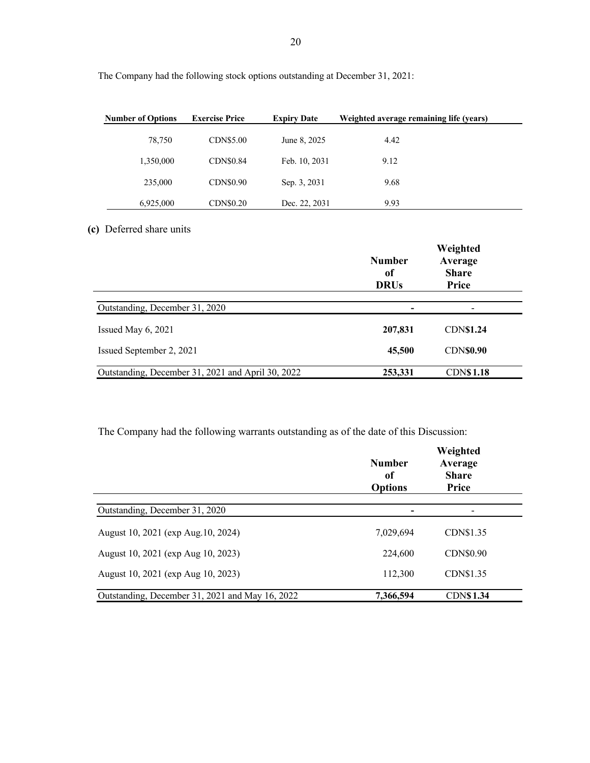| <b>Number of Options</b> | <b>Exercise Price</b> | <b>Expiry Date</b> | Weighted average remaining life (years) |  |
|--------------------------|-----------------------|--------------------|-----------------------------------------|--|
| 78,750                   | CDN\$5.00             | June 8, 2025       | 4.42                                    |  |
| 1,350,000                | CDN\$0.84             | Feb. 10, 2031      | 9.12                                    |  |
| 235,000                  | CDN\$0.90             | Sep. 3, 2031       | 9.68                                    |  |
| 6,925,000                | CDN\$0.20             | Dec. 22, 2031      | 9.93                                    |  |

The Company had the following stock options outstanding at December 31, 2021:

# **(c)** Deferred share units

|                                                   | <b>Number</b><br>of<br><b>DRUs</b> | Weighted<br>Average<br><b>Share</b><br>Price |
|---------------------------------------------------|------------------------------------|----------------------------------------------|
| Outstanding, December 31, 2020                    |                                    |                                              |
| Issued May $6, 2021$                              | 207,831                            | <b>CDN\$1.24</b>                             |
| Issued September 2, 2021                          | 45,500                             | <b>CDN\$0.90</b>                             |
| Outstanding, December 31, 2021 and April 30, 2022 | 253,331                            | <b>CDN\$1.18</b>                             |

The Company had the following warrants outstanding as of the date of this Discussion:

|                                                 | <b>Number</b><br>of<br><b>Options</b> | Weighted<br>Average<br><b>Share</b><br>Price |
|-------------------------------------------------|---------------------------------------|----------------------------------------------|
| Outstanding, December 31, 2020                  |                                       |                                              |
| August 10, 2021 (exp Aug. 10, 2024)             | 7,029,694                             | CDN\$1.35                                    |
| August 10, 2021 (exp Aug 10, 2023)              | 224,600                               | CDN\$0.90                                    |
| August 10, 2021 (exp Aug 10, 2023)              | 112,300                               | CDN\$1.35                                    |
| Outstanding, December 31, 2021 and May 16, 2022 | 7,366,594                             | <b>CDN\$1.34</b>                             |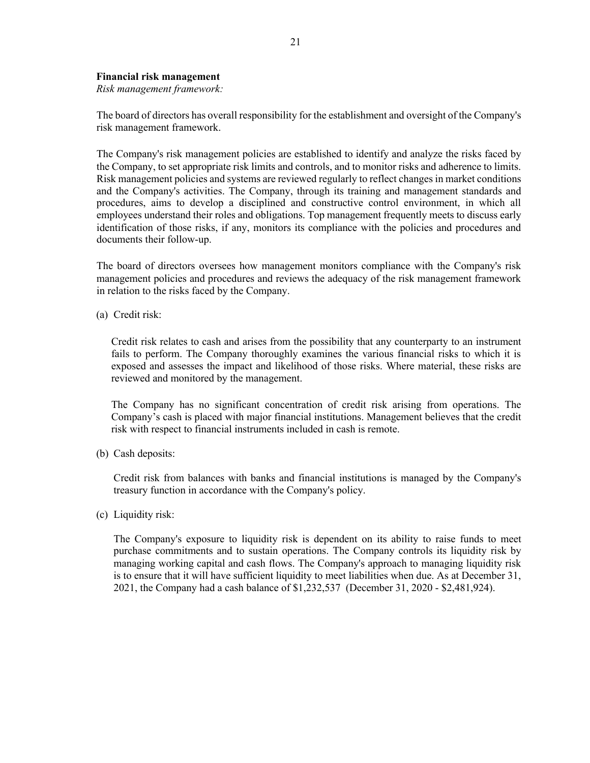### **Financial risk management**

*Risk management framework:*

The board of directors has overall responsibility for the establishment and oversight of the Company's risk management framework.

The Company's risk management policies are established to identify and analyze the risks faced by the Company, to set appropriate risk limits and controls, and to monitor risks and adherence to limits. Risk management policies and systems are reviewed regularly to reflect changes in market conditions and the Company's activities. The Company, through its training and management standards and procedures, aims to develop a disciplined and constructive control environment, in which all employees understand their roles and obligations. Top management frequently meets to discuss early identification of those risks, if any, monitors its compliance with the policies and procedures and documents their follow-up.

The board of directors oversees how management monitors compliance with the Company's risk management policies and procedures and reviews the adequacy of the risk management framework in relation to the risks faced by the Company.

(a) Credit risk:

Credit risk relates to cash and arises from the possibility that any counterparty to an instrument fails to perform. The Company thoroughly examines the various financial risks to which it is exposed and assesses the impact and likelihood of those risks. Where material, these risks are reviewed and monitored by the management.

The Company has no significant concentration of credit risk arising from operations. The Company's cash is placed with major financial institutions. Management believes that the credit risk with respect to financial instruments included in cash is remote.

(b) Cash deposits:

Credit risk from balances with banks and financial institutions is managed by the Company's treasury function in accordance with the Company's policy.

(c) Liquidity risk:

The Company's exposure to liquidity risk is dependent on its ability to raise funds to meet purchase commitments and to sustain operations. The Company controls its liquidity risk by managing working capital and cash flows. The Company's approach to managing liquidity risk is to ensure that it will have sufficient liquidity to meet liabilities when due. As at December 31, 2021, the Company had a cash balance of \$1,232,537 (December 31, 2020 - \$2,481,924).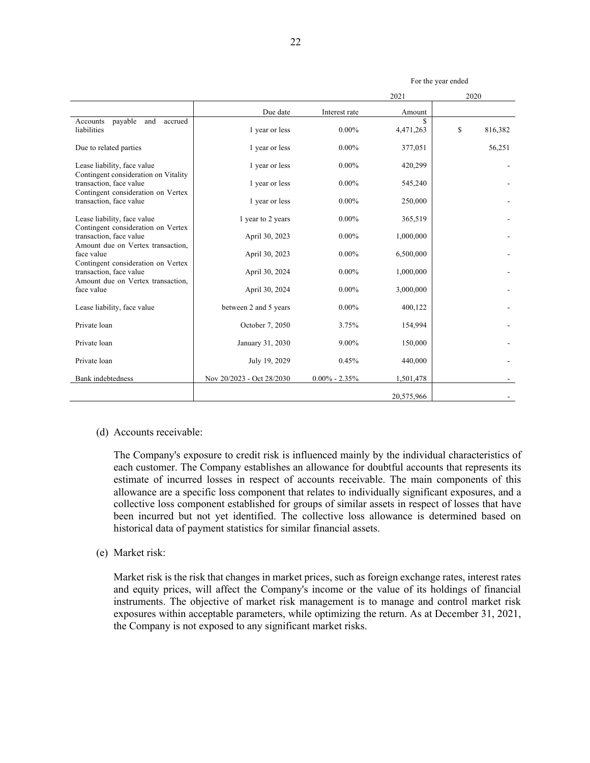|                                                                 |                           |                   | 2021       | 2020          |
|-----------------------------------------------------------------|---------------------------|-------------------|------------|---------------|
|                                                                 | Due date                  | Interest rate     | Amount     |               |
| payable<br>and<br>accrued<br>Accounts<br>liabilities            | 1 year or less            | $0.00\%$          | 4,471,263  | \$<br>816,382 |
| Due to related parties                                          | 1 year or less            | $0.00\%$          | 377,051    | 56,251        |
| Lease liability, face value                                     | 1 year or less            | $0.00\%$          | 420,299    |               |
| Contingent consideration on Vitality<br>transaction, face value | 1 year or less            | $0.00\%$          | 545,240    |               |
| Contingent consideration on Vertex<br>transaction, face value   | 1 year or less            | $0.00\%$          | 250,000    |               |
| Lease liability, face value                                     | 1 year to 2 years         | $0.00\%$          | 365,519    |               |
| Contingent consideration on Vertex<br>transaction, face value   | April 30, 2023            | $0.00\%$          | 1,000,000  |               |
| Amount due on Vertex transaction,<br>face value                 | April 30, 2023            | $0.00\%$          | 6,500,000  |               |
| Contingent consideration on Vertex<br>transaction, face value   | April 30, 2024            | $0.00\%$          | 1,000,000  |               |
| Amount due on Vertex transaction,<br>face value                 | April 30, 2024            | $0.00\%$          | 3,000,000  |               |
| Lease liability, face value                                     | between 2 and 5 years     | $0.00\%$          | 400,122    |               |
| Private loan                                                    | October 7, 2050           | 3.75%             | 154,994    |               |
| Private loan                                                    | January 31, 2030          | 9.00%             | 150,000    |               |
| Private loan                                                    | July 19, 2029             | 0.45%             | 440,000    |               |
| Bank indebtedness                                               | Nov 20/2023 - Oct 28/2030 | $0.00\% - 2.35\%$ | 1,501,478  |               |
|                                                                 |                           |                   | 20,575,966 |               |

#### For the year ended

#### (d) Accounts receivable:

The Company's exposure to credit risk is influenced mainly by the individual characteristics of each customer. The Company establishes an allowance for doubtful accounts that represents its estimate of incurred losses in respect of accounts receivable. The main components of this allowance are a specific loss component that relates to individually significant exposures, and a collective loss component established for groups of similar assets in respect of losses that have been incurred but not yet identified. The collective loss allowance is determined based on historical data of payment statistics for similar financial assets.

# (e) Market risk:

Market risk is the risk that changes in market prices, such as foreign exchange rates, interest rates and equity prices, will affect the Company's income or the value of its holdings of financial instruments. The objective of market risk management is to manage and control market risk exposures within acceptable parameters, while optimizing the return. As at December 31, 2021, the Company is not exposed to any significant market risks.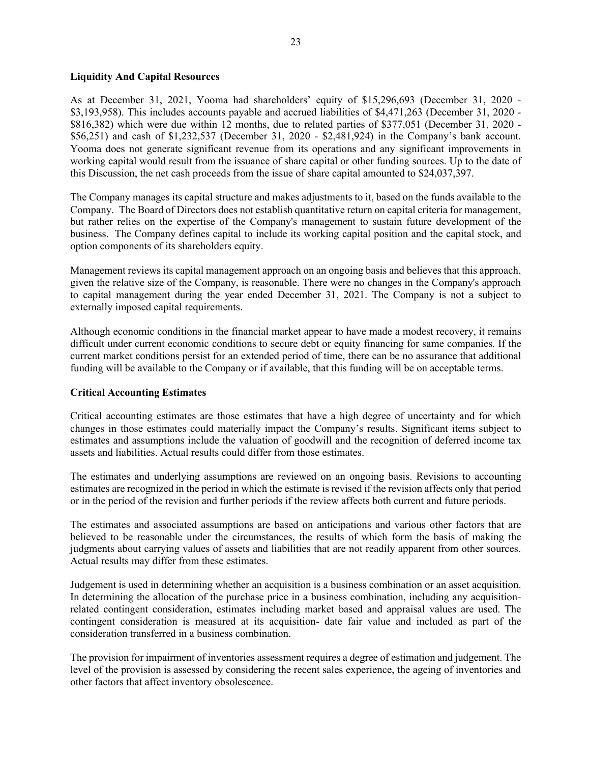# **Liquidity And Capital Resources**

As at December 31, 2021, Yooma had shareholders' equity of \$15,296,693 (December 31, 2020 - \$3,193,958). This includes accounts payable and accrued liabilities of \$4,471,263 (December 31, 2020 - \$816,382) which were due within 12 months, due to related parties of \$377,051 (December 31, 2020 - \$56,251) and cash of \$1,232,537 (December 31, 2020 - \$2,481,924) in the Company's bank account. Yooma does not generate significant revenue from its operations and any significant improvements in working capital would result from the issuance of share capital or other funding sources. Up to the date of this Discussion, the net cash proceeds from the issue of share capital amounted to \$24,037,397.

The Company manages its capital structure and makes adjustments to it, based on the funds available to the Company. The Board of Directors does not establish quantitative return on capital criteria for management, but rather relies on the expertise of the Company's management to sustain future development of the business. The Company defines capital to include its working capital position and the capital stock, and option components of its shareholders equity.

Management reviews its capital management approach on an ongoing basis and believes that this approach, given the relative size of the Company, is reasonable. There were no changes in the Company's approach to capital management during the year ended December 31, 2021. The Company is not a subject to externally imposed capital requirements.

Although economic conditions in the financial market appear to have made a modest recovery, it remains difficult under current economic conditions to secure debt or equity financing for same companies. If the current market conditions persist for an extended period of time, there can be no assurance that additional funding will be available to the Company or if available, that this funding will be on acceptable terms.

# **Critical Accounting Estimates**

Critical accounting estimates are those estimates that have a high degree of uncertainty and for which changes in those estimates could materially impact the Company's results. Significant items subject to estimates and assumptions include the valuation of goodwill and the recognition of deferred income tax assets and liabilities. Actual results could differ from those estimates.

The estimates and underlying assumptions are reviewed on an ongoing basis. Revisions to accounting estimates are recognized in the period in which the estimate is revised if the revision affects only that period or in the period of the revision and further periods if the review affects both current and future periods.

The estimates and associated assumptions are based on anticipations and various other factors that are believed to be reasonable under the circumstances, the results of which form the basis of making the judgments about carrying values of assets and liabilities that are not readily apparent from other sources. Actual results may differ from these estimates.

Judgement is used in determining whether an acquisition is a business combination or an asset acquisition. In determining the allocation of the purchase price in a business combination, including any acquisitionrelated contingent consideration, estimates including market based and appraisal values are used. The contingent consideration is measured at its acquisition- date fair value and included as part of the consideration transferred in a business combination.

The provision for impairment of inventories assessment requires a degree of estimation and judgement. The level of the provision is assessed by considering the recent sales experience, the ageing of inventories and other factors that affect inventory obsolescence.